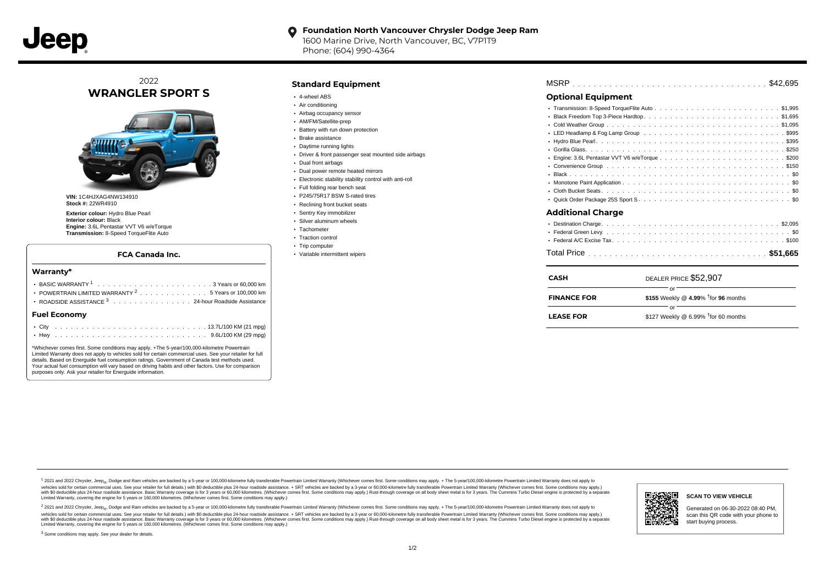#### **Foundation North Vancouver Chrysler Dodge Jeep Ram**  $\bullet$

1600 Marine Drive, North Vancouver, BC, V7P1T9 Phone: (604) 990-4364

## 2022 **WRANGLER SPORT S**



**VIN:** 1C4HJXAG4NW134910 **Stock #:** 22WR4910

**Exterior colour:** Hydro Blue Pearl **Interior colour:** Black **Engine:** 3.6L Pentastar VVT V6 w/eTorque **Transmission:** 8-Speed TorqueFlite Auto

#### **FCA Canada Inc.**

#### **Warranty\***

| ROADSIDE ASSISTANCE <sup>3</sup> 24-hour Roadside Assistance |  |
|--------------------------------------------------------------|--|
| <b>Fuel Economv</b>                                          |  |

\*Whichever comes first. Some conditions may apply. +The 5-year/100,000-kilometre Powertrain Limited Warranty does not apply to vehicles sold for certain commercial uses. See your retailer for full details. Based on Energuide fuel consumption ratings. Government of Canada test methods used. Your actual fuel consumption will vary based on driving habits and other factors. Use for comparison purposes only. Ask your retailer for Energuide information.

. . . . . . . . . . . . . . . . . . . . . . . . . . . . . . . . . . . . . . . . . . . Hwy 9.6L/100 KM (29 mpg)

### **Standard Equipment**

- 4-wheel ABS
- Air conditioning
- Airbag occupancy sensor
- AM/FM/Satellite-prep
- Battery with run down protection
- Brake assistance
- Daytime running lights
- Driver & front passenger seat mounted side airbags
- Dual front airbags
- Dual power remote heated mirrors
- Electronic stability stability control with anti-roll
- Full folding rear bench seat
- P245/75R17 BSW S-rated tires
- Reclining front bucket seats
- Sentry Key immobilizer
- Silver aluminum wheels
- Tachometer
- Traction control • Trip computer
- 
- Variable intermittent wipers

- . . . . . . . . . . . . . . . . . . . . . . . . . . . . . . . . . . . . . . . . . . . . . . Black \$0 . . . . . . . . . . . . . . . . . . . . . . . . . . . . . . . . . . . . . . . . . . . . . . Monotone Paint Application \$0 . . . . . . . . . . . . . . . . . . . . . . . . . . . . . . . . . . . . . . . . . . . . . . Cloth Bucket Seats \$0
- . . . . . . . . . . . . . . . . . . . . . . . . . . . . . . . . . . . . . . . . . . . . . . Quick Order Package 25S Sport S \$0

#### **Additional Charge**

| <b>CASH</b>        | DEALER PRICE \$52,907                        |
|--------------------|----------------------------------------------|
| <b>FINANCE FOR</b> | \$155 Weekly @ 4.99% $†$ for 96 months       |
| <b>LEASE FOR</b>   | Ωľ<br>\$127 Weekly @ 6.99% $†$ for 60 months |

1 2021 and 2022 Chrysler, Jeep<sub>en</sub> Dodge and Ram vehicles are backed by a 5-year or 100,000-kilometre fully transferable Powertrain Limited Warranty (Whichever comes first. Some conditions may apply. + The 5-year/100,000-k rebicles sold for certain commercial uses. See your retailer for full details) with S0 deductible plus 24-hour madside assistance. + SRT vehicles are backed by a 3-year or 60.000-kilometre fully transferable Powertrain Lim ventals and contract when the contract when the contract you contract when the contract when the control of the set of a set of a set of a set of 3 years of 60,000 kilometres. Whichever comes first. Some conditions may app Limited Warranty, covering the engine for 5 years or 160,000 kilometres. (Whichever comes first. Some conditions may apply.)

2 2021 and 2022 Chrysler, Jeep<sub>es</sub> Dodge and Ram vehicles are backed by a 5-year or 100,000-kilometre fully transferable Powertrain Limited Warranty (Whichever comes first. Some conditions may apply. + The 5-year/100,000-k vehicles sold for certain commercial uses. See your retailer for full details.) with SO deductible plus 24-hour roadside assistance. + SRT vehicles are backed by a 3-year or 60.000-kilometre fully transferable Powertrain L with S0 deductible plus 24-hour roadside assistance. Basic Warranty coverage is for 3 years or 60,000 kilometres. (Whichever comes first. Some conditions may apply.) Rust-through coverage on all body sheet metal is for 3 y



#### **SCAN TO VIEW VEHICLE**

Generated on 06-30-2022 08:40 PM, scan this QR code with your phone to start buying process.

<sup>3</sup> Some conditions may apply. See your dealer for details.